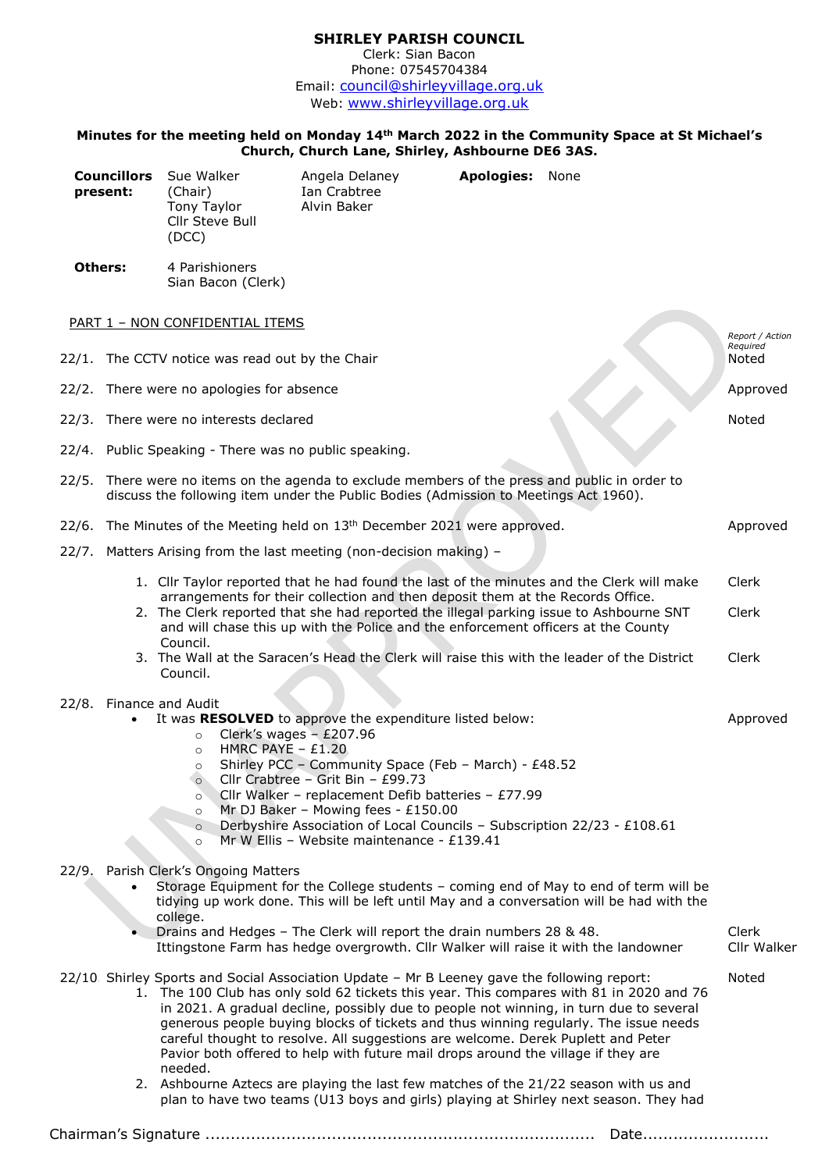## **SHIRLEY PARISH COUNCIL** Clerk: Sian Bacon

Phone: 07545704384 Email: [council@shirleyvillage.org.uk](mailto:council@shirleyvillage.org.uk) Web: [www.shirleyvillage.org.uk](http://www.shirleyvillage.org.uk/)

## **Minutes for the meeting held on Monday 14th March 2022 in the Community Space at St Michael's Church, Church Lane, Shirley, Ashbourne DE6 3AS.**

| <b>Councillors</b><br>present:                     |                                                                                                                                                                                        | Sue Walker<br>(Chair)<br>Tony Taylor<br>Cllr Steve Bull<br>(DCC)                                                                       | Angela Delaney<br>Ian Crabtree<br>Alvin Baker                                                                                                                                                                                                                                                                                                                                                            | Apologies: None |                                                                                                                                                                                                                                                                            |                      |
|----------------------------------------------------|----------------------------------------------------------------------------------------------------------------------------------------------------------------------------------------|----------------------------------------------------------------------------------------------------------------------------------------|----------------------------------------------------------------------------------------------------------------------------------------------------------------------------------------------------------------------------------------------------------------------------------------------------------------------------------------------------------------------------------------------------------|-----------------|----------------------------------------------------------------------------------------------------------------------------------------------------------------------------------------------------------------------------------------------------------------------------|----------------------|
| <b>Others:</b>                                     |                                                                                                                                                                                        | 4 Parishioners<br>Sian Bacon (Clerk)                                                                                                   |                                                                                                                                                                                                                                                                                                                                                                                                          |                 |                                                                                                                                                                                                                                                                            |                      |
| PART 1 - NON CONFIDENTIAL ITEMS<br>Report / Action |                                                                                                                                                                                        |                                                                                                                                        |                                                                                                                                                                                                                                                                                                                                                                                                          |                 |                                                                                                                                                                                                                                                                            |                      |
|                                                    |                                                                                                                                                                                        | 22/1. The CCTV notice was read out by the Chair                                                                                        |                                                                                                                                                                                                                                                                                                                                                                                                          |                 |                                                                                                                                                                                                                                                                            | Required<br>Noted    |
|                                                    |                                                                                                                                                                                        | 22/2. There were no apologies for absence                                                                                              |                                                                                                                                                                                                                                                                                                                                                                                                          |                 |                                                                                                                                                                                                                                                                            | Approved             |
|                                                    |                                                                                                                                                                                        | 22/3. There were no interests declared                                                                                                 |                                                                                                                                                                                                                                                                                                                                                                                                          |                 |                                                                                                                                                                                                                                                                            | Noted                |
|                                                    |                                                                                                                                                                                        | 22/4. Public Speaking - There was no public speaking.                                                                                  |                                                                                                                                                                                                                                                                                                                                                                                                          |                 |                                                                                                                                                                                                                                                                            |                      |
|                                                    | 22/5. There were no items on the agenda to exclude members of the press and public in order to<br>discuss the following item under the Public Bodies (Admission to Meetings Act 1960). |                                                                                                                                        |                                                                                                                                                                                                                                                                                                                                                                                                          |                 |                                                                                                                                                                                                                                                                            |                      |
|                                                    |                                                                                                                                                                                        |                                                                                                                                        | 22/6. The Minutes of the Meeting held on 13 <sup>th</sup> December 2021 were approved.                                                                                                                                                                                                                                                                                                                   |                 |                                                                                                                                                                                                                                                                            | Approved             |
|                                                    | 22/7. Matters Arising from the last meeting (non-decision making) -                                                                                                                    |                                                                                                                                        |                                                                                                                                                                                                                                                                                                                                                                                                          |                 |                                                                                                                                                                                                                                                                            |                      |
|                                                    |                                                                                                                                                                                        |                                                                                                                                        | arrangements for their collection and then deposit them at the Records Office.                                                                                                                                                                                                                                                                                                                           |                 | 1. Cllr Taylor reported that he had found the last of the minutes and the Clerk will make                                                                                                                                                                                  | Clerk                |
|                                                    |                                                                                                                                                                                        | Council.                                                                                                                               | 2. The Clerk reported that she had reported the illegal parking issue to Ashbourne SNT<br>and will chase this up with the Police and the enforcement officers at the County                                                                                                                                                                                                                              |                 |                                                                                                                                                                                                                                                                            | Clerk                |
|                                                    |                                                                                                                                                                                        | Council.                                                                                                                               | 3. The Wall at the Saracen's Head the Clerk will raise this with the leader of the District                                                                                                                                                                                                                                                                                                              |                 |                                                                                                                                                                                                                                                                            | Clerk                |
|                                                    |                                                                                                                                                                                        | 22/8. Finance and Audit<br>$\circ$<br>HMRC PAYE $-$ £1.20<br>$\circ$<br>$\circ$<br>$\circ$<br>$\circ$<br>$\circ$<br>$\circ$<br>$\circ$ | It was RESOLVED to approve the expenditure listed below:<br>Clerk's wages $- E207.96$<br>Shirley PCC - Community Space (Feb - March) - £48.52<br>Cllr Crabtree - Grit Bin - £99.73<br>Cllr Walker - replacement Defib batteries - £77.99<br>Mr DJ Baker - Mowing fees - £150.00<br>Derbyshire Association of Local Councils - Subscription 22/23 - £108.61<br>Mr W Ellis - Website maintenance - £139.41 |                 |                                                                                                                                                                                                                                                                            | Approved             |
| 22/9.                                              |                                                                                                                                                                                        | Parish Clerk's Ongoing Matters<br>college.                                                                                             | Drains and Hedges - The Clerk will report the drain numbers 28 & 48.<br>Ittingstone Farm has hedge overgrowth. Cllr Walker will raise it with the landowner                                                                                                                                                                                                                                              |                 | Storage Equipment for the College students - coming end of May to end of term will be<br>tidying up work done. This will be left until May and a conversation will be had with the                                                                                         | Clerk<br>Cllr Walker |
|                                                    |                                                                                                                                                                                        | needed.                                                                                                                                | 22/10. Shirley Sports and Social Association Update - Mr B Leeney gave the following report:<br>careful thought to resolve. All suggestions are welcome. Derek Puplett and Peter<br>Pavior both offered to help with future mail drops around the village if they are                                                                                                                                    |                 | 1. The 100 Club has only sold 62 tickets this year. This compares with 81 in 2020 and 76<br>in 2021. A gradual decline, possibly due to people not winning, in turn due to several<br>generous people buying blocks of tickets and thus winning regularly. The issue needs | Noted                |
|                                                    |                                                                                                                                                                                        |                                                                                                                                        | 2. Ashbourne Aztecs are playing the last few matches of the 21/22 season with us and                                                                                                                                                                                                                                                                                                                     |                 | plan to have two teams (U13 boys and girls) playing at Shirley next season. They had                                                                                                                                                                                       |                      |
| Date                                               |                                                                                                                                                                                        |                                                                                                                                        |                                                                                                                                                                                                                                                                                                                                                                                                          |                 |                                                                                                                                                                                                                                                                            |                      |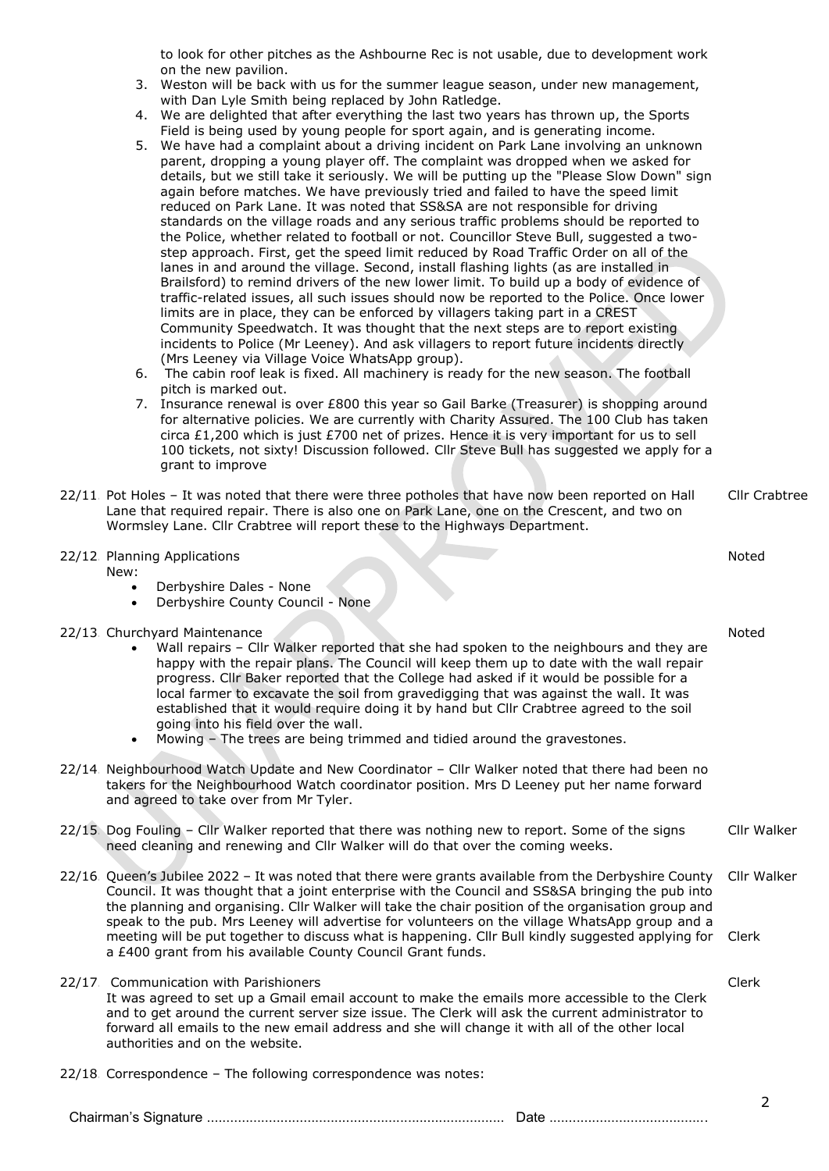to look for other pitches as the Ashbourne Rec is not usable, due to development work on the new pavilion.

- 3. Weston will be back with us for the summer league season, under new management, with Dan Lyle Smith being replaced by John Ratledge.
- 4. We are delighted that after everything the last two years has thrown up, the Sports Field is being used by young people for sport again, and is generating income.
- 5. We have had a complaint about a driving incident on Park Lane involving an unknown parent, dropping a young player off. The complaint was dropped when we asked for details, but we still take it seriously. We will be putting up the "Please Slow Down" sign again before matches. We have previously tried and failed to have the speed limit reduced on Park Lane. It was noted that SS&SA are not responsible for driving standards on the village roads and any serious traffic problems should be reported to the Police, whether related to football or not. Councillor Steve Bull, suggested a twostep approach. First, get the speed limit reduced by Road Traffic Order on all of the lanes in and around the village. Second, install flashing lights (as are installed in Brailsford) to remind drivers of the new lower limit. To build up a body of evidence of traffic-related issues, all such issues should now be reported to the Police. Once lower limits are in place, they can be enforced by villagers taking part in a CREST Community Speedwatch. It was thought that the next steps are to report existing incidents to Police (Mr Leeney). And ask villagers to report future incidents directly (Mrs Leeney via Village Voice WhatsApp group).
- 6. The cabin roof leak is fixed. All machinery is ready for the new season. The football pitch is marked out.
- 7. Insurance renewal is over £800 this year so Gail Barke (Treasurer) is shopping around for alternative policies. We are currently with Charity Assured. The 100 Club has taken circa £1,200 which is just £700 net of prizes. Hence it is very important for us to sell 100 tickets, not sixty! Discussion followed. Cllr Steve Bull has suggested we apply for a grant to improve
- 22/11. Pot Holes It was noted that there were three potholes that have now been reported on Hall Lane that required repair. There is also one on Park Lane, one on the Crescent, and two on Wormsley Lane. Cllr Crabtree will report these to the Highways Department. Cllr Crabtree
- 2 22/12. Planning Applications New: • Derbyshire Dales - None • Derbyshire County Council - None Noted 22/13. Churchyard Maintenance • Wall repairs – Cllr Walker reported that she had spoken to the neighbours and they are happy with the repair plans. The Council will keep them up to date with the wall repair progress. Cllr Baker reported that the College had asked if it would be possible for a local farmer to excavate the soil from gravedigging that was against the wall. It was established that it would require doing it by hand but Cllr Crabtree agreed to the soil going into his field over the wall. • Mowing – The trees are being trimmed and tidied around the gravestones. Noted 22/14. Neighbourhood Watch Update and New Coordinator – Cllr Walker noted that there had been no takers for the Neighbourhood Watch coordinator position. Mrs D Leeney put her name forward and agreed to take over from Mr Tyler. 22/15. Dog Fouling – Cllr Walker reported that there was nothing new to report. Some of the signs need cleaning and renewing and Cllr Walker will do that over the coming weeks. Cllr Walker 22/16. Queen's Jubilee 2022 – It was noted that there were grants available from the Derbyshire County Council. It was thought that a joint enterprise with the Council and SS&SA bringing the pub into the planning and organising. Cllr Walker will take the chair position of the organisation group and speak to the pub. Mrs Leeney will advertise for volunteers on the village WhatsApp group and a meeting will be put together to discuss what is happening. Cllr Bull kindly suggested applying for a £400 grant from his available County Council Grant funds. Cllr Walker Clerk 22/17. Communication with Parishioners It was agreed to set up a Gmail email account to make the emails more accessible to the Clerk and to get around the current server size issue. The Clerk will ask the current administrator to forward all emails to the new email address and she will change it with all of the other local authorities and on the website. Clerk 22/18. Correspondence – The following correspondence was notes:

Chairman's Signature ............................................................................. Date .........................................